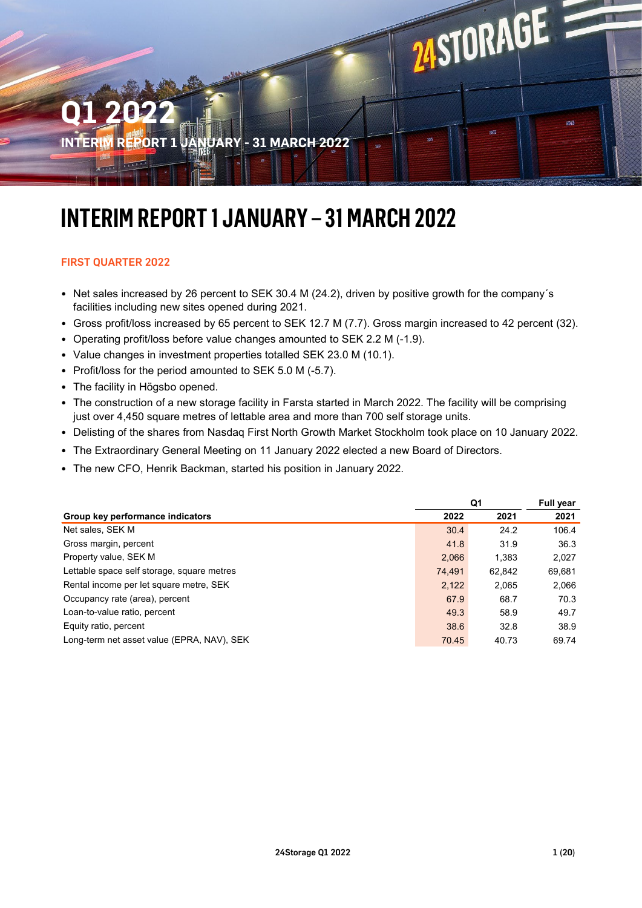

# **INTERIM REPORT 1 JANUARY – 31 MARCH 2022**

# FIRST QUARTER 2022

- Net sales increased by 26 percent to SEK 30.4 M (24.2), driven by positive growth for the company´s facilities including new sites opened during 2021.
- Gross profit/loss increased by 65 percent to SEK 12.7 M (7.7). Gross margin increased to 42 percent (32).
- Operating profit/loss before value changes amounted to SEK 2.2 M (-1.9).
- Value changes in investment properties totalled SEK 23.0 M (10.1).
- Profit/loss for the period amounted to SEK 5.0 M (-5.7).
- The facility in Högsbo opened.
- The construction of a new storage facility in Farsta started in March 2022. The facility will be comprising just over 4,450 square metres of lettable area and more than 700 self storage units.
- Delisting of the shares from Nasdaq First North Growth Market Stockholm took place on 10 January 2022.
- The Extraordinary General Meeting on 11 January 2022 elected a new Board of Directors.
- The new CFO, Henrik Backman, started his position in January 2022.

|                                            | Q1     |        | Full year |  |
|--------------------------------------------|--------|--------|-----------|--|
| Group key performance indicators           | 2022   | 2021   | 2021      |  |
| Net sales, SEK M                           | 30.4   | 24.2   | 106.4     |  |
| Gross margin, percent                      | 41.8   | 31.9   | 36.3      |  |
| Property value, SEK M                      | 2,066  | 1.383  | 2,027     |  |
| Lettable space self storage, square metres | 74.491 | 62.842 | 69,681    |  |
| Rental income per let square metre, SEK    | 2,122  | 2,065  | 2,066     |  |
| Occupancy rate (area), percent             | 67.9   | 68.7   | 70.3      |  |
| Loan-to-value ratio, percent               | 49.3   | 58.9   | 49.7      |  |
| Equity ratio, percent                      | 38.6   | 32.8   | 38.9      |  |
| Long-term net asset value (EPRA, NAV), SEK | 70.45  | 40.73  | 69.74     |  |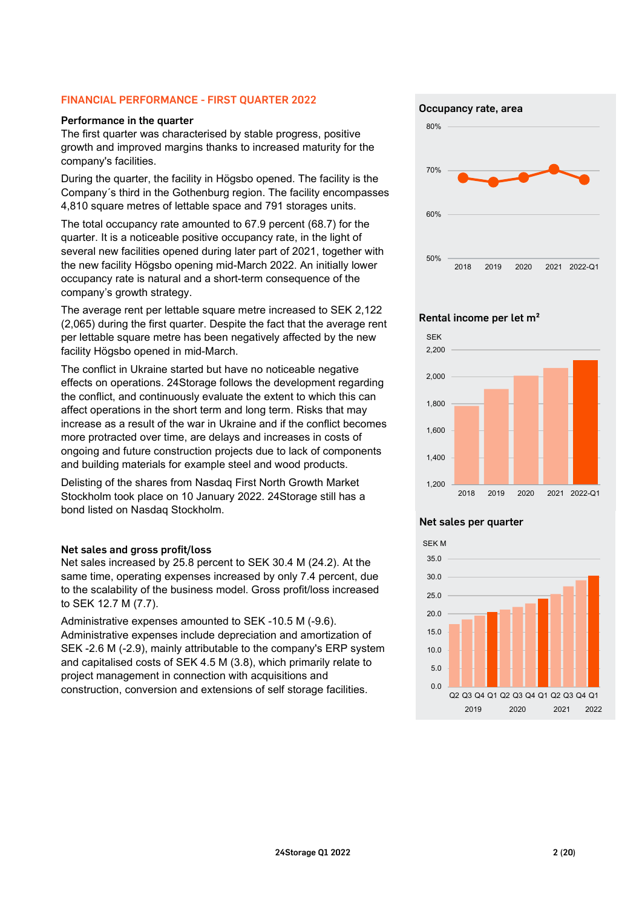### FINANCIAL PERFORMANCE - FIRST QUARTER 2022

#### Performance in the quarter

The first quarter was characterised by stable progress, positive growth and improved margins thanks to increased maturity for the company's facilities.

During the quarter, the facility in Högsbo opened. The facility is the Company´s third in the Gothenburg region. The facility encompasses 4,810 square metres of lettable space and 791 storages units.

The total occupancy rate amounted to 67.9 percent (68.7) for the quarter. It is a noticeable positive occupancy rate, in the light of several new facilities opened during later part of 2021, together with the new facility Högsbo opening mid-March 2022. An initially lower occupancy rate is natural and a short-term consequence of the company's growth strategy.

The average rent per lettable square metre increased to SEK 2,122 (2,065) during the first quarter. Despite the fact that the average rent per lettable square metre has been negatively affected by the new facility Högsbo opened in mid-March.

The conflict in Ukraine started but have no noticeable negative effects on operations. 24Storage follows the development regarding the conflict, and continuously evaluate the extent to which this can affect operations in the short term and long term. Risks that may increase as a result of the war in Ukraine and if the conflict becomes more protracted over time, are delays and increases in costs of ongoing and future construction projects due to lack of components and building materials for example steel and wood products.

Delisting of the shares from Nasdaq First North Growth Market Stockholm took place on 10 January 2022. 24Storage still has a bond listed on Nasdaq Stockholm.

### Net sales and gross profit/loss

Net sales increased by 25.8 percent to SEK 30.4 M (24.2). At the same time, operating expenses increased by only 7.4 percent, due to the scalability of the business model. Gross profit/loss increased to SEK 12.7 M (7.7).

Administrative expenses amounted to SEK -10.5 M (-9.6). Administrative expenses include depreciation and amortization of SEK -2.6 M (-2.9), mainly attributable to the company's ERP system and capitalised costs of SEK 4.5 M (3.8), which primarily relate to project management in connection with acquisitions and construction, conversion and extensions of self storage facilities.

Occupancy rate, area



#### Rental income per let m²



#### Net sales per quarter

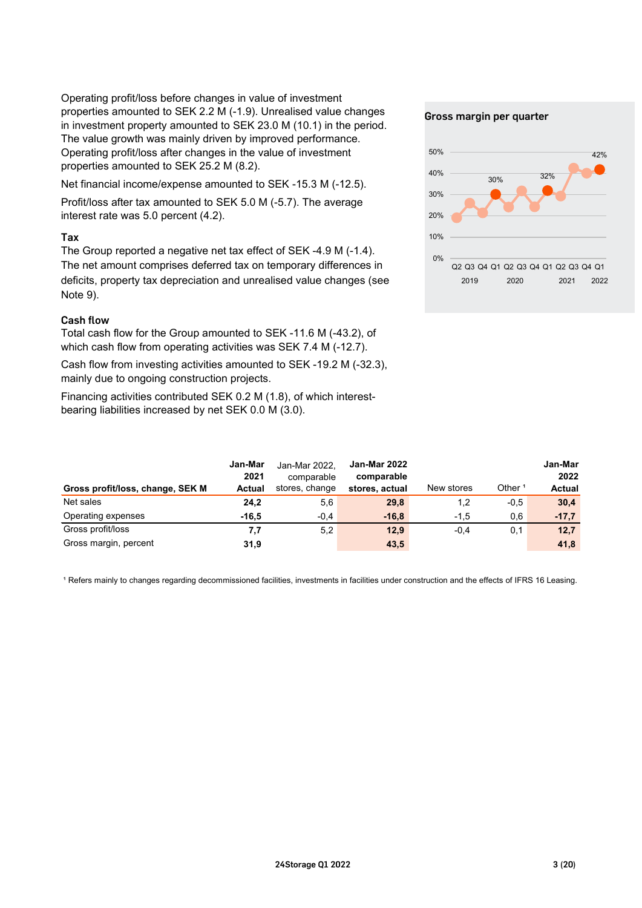Operating profit/loss before changes in value of investment properties amounted to SEK 2.2 M (-1.9). Unrealised value changes in investment property amounted to SEK 23.0 M (10.1) in the period. The value growth was mainly driven by improved performance. Operating profit/loss after changes in the value of investment properties amounted to SEK 25.2 M (8.2).

Net financial income/expense amounted to SEK -15.3 M (-12.5).

Profit/loss after tax amounted to SEK 5.0 M (-5.7). The average interest rate was 5.0 percent (4.2).

# Tax

The Group reported a negative net tax effect of SEK -4.9 M (-1.4). The net amount comprises deferred tax on temporary differences in deficits, property tax depreciation and unrealised value changes (see Note 9).

# Cash flow

Total cash flow for the Group amounted to SEK -11.6 M (-43.2), of which cash flow from operating activities was SEK 7.4 M (-12.7).

Cash flow from investing activities amounted to SEK -19.2 M (-32.3), mainly due to ongoing construction projects.

Financing activities contributed SEK 0.2 M (1.8), of which interestbearing liabilities increased by net SEK 0.0 M (3.0).

#### Gross margin per quarter



|                                  | Jan-Mar<br>2021 | Jan-Mar 2022.<br>comparable<br>stores, change | <b>Jan-Mar 2022</b><br>comparable | New stores | Other $1$ | Jan-Mar<br>2022<br><b>Actual</b> |
|----------------------------------|-----------------|-----------------------------------------------|-----------------------------------|------------|-----------|----------------------------------|
| Gross profit/loss, change, SEK M | Actual          |                                               | stores, actual                    |            |           |                                  |
| Net sales                        | 24,2            | 5,6                                           | 29,8                              | 1,2        | $-0.5$    | 30,4                             |
| Operating expenses               | $-16.5$         | $-0.4$                                        | $-16,8$                           | $-1,5$     | 0,6       | $-17,7$                          |
| Gross profit/loss                | 7,7             | 5,2                                           | 12,9                              | $-0.4$     | 0,1       | 12,7                             |
| Gross margin, percent            | 31,9            |                                               | 43,5                              |            |           | 41,8                             |

<sup>1</sup> Refers mainly to changes regarding decommissioned facilities, investments in facilities under construction and the effects of IFRS 16 Leasing.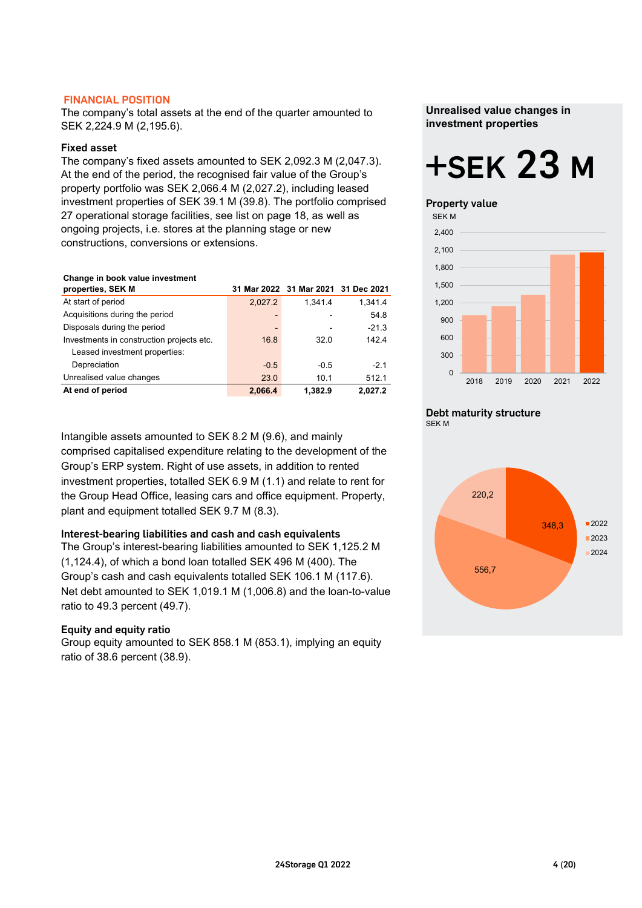### FINANCIAL POSITION

The company's total assets at the end of the quarter amounted to SEK 2,224.9 M (2,195.6).

### Fixed asset

The company's fixed assets amounted to SEK 2,092.3 M (2,047.3). At the end of the period, the recognised fair value of the Group's property portfolio was SEK 2,066.4 M (2,027.2), including leased investment properties of SEK 39.1 M (39.8). The portfolio comprised 27 operational storage facilities, see list on page 18, as well as ongoing projects, i.e. stores at the planning stage or new constructions, conversions or extensions.

#### **Change in book value investment**

| properties, SEK M                         |         | 31 Mar 2022 31 Mar 2021 31 Dec 2021 |         |
|-------------------------------------------|---------|-------------------------------------|---------|
| At start of period                        | 2,027.2 | 1.341.4                             | 1,341.4 |
| Acquisitions during the period            | -       |                                     | 54.8    |
| Disposals during the period               | -       |                                     | $-21.3$ |
| Investments in construction projects etc. | 16.8    | 32.0                                | 142.4   |
| Leased investment properties:             |         |                                     |         |
| Depreciation                              | $-0.5$  | $-0.5$                              | $-21$   |
| Unrealised value changes                  | 23.0    | 10.1                                | 512.1   |
| At end of period                          | 2.066.4 | 1.382.9                             | 2.027.2 |

Intangible assets amounted to SEK 8.2 M (9.6), and mainly comprised capitalised expenditure relating to the development of the Group's ERP system. Right of use assets, in addition to rented investment properties, totalled SEK 6.9 M (1.1) and relate to rent for the Group Head Office, leasing cars and office equipment. Property, plant and equipment totalled SEK 9.7 M (8.3).

# Interest-bearing liabilities and cash and cash equivalents

The Group's interest-bearing liabilities amounted to SEK 1,125.2 M (1,124.4), of which a bond loan totalled SEK 496 M (400). The Group's cash and cash equivalents totalled SEK 106.1 M (117.6). Net debt amounted to SEK 1,019.1 M (1,006.8) and the loan-to-value ratio to 49.3 percent (49.7).

### Equity and equity ratio

Group equity amounted to SEK 858.1 M (853.1), implying an equity ratio of 38.6 percent (38.9).

**Unrealised value changes in investment properties**

# +SEK 23 M

#### Property value



# Debt maturity structure



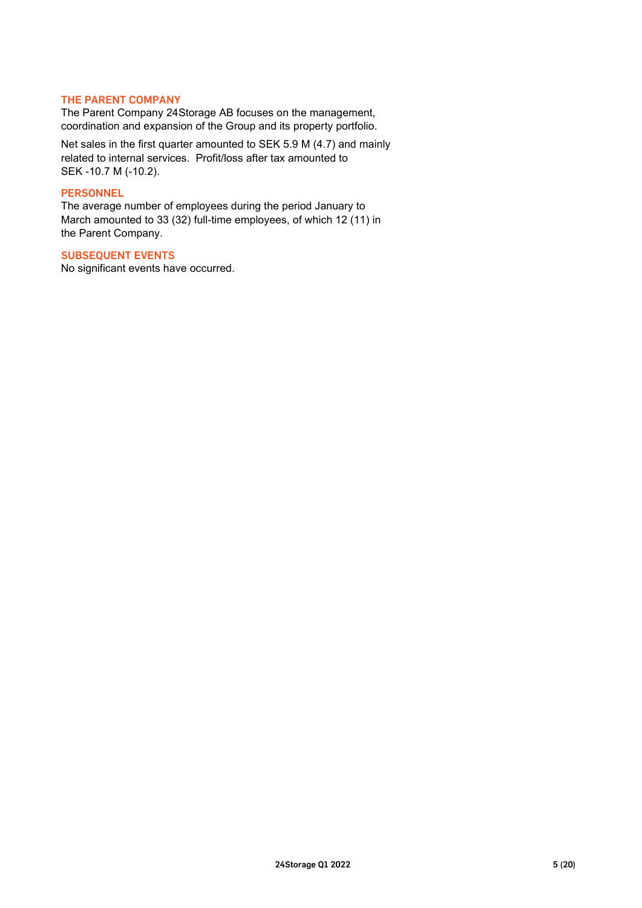### THE PARENT COMPANY

The Parent Company 24Storage AB focuses on the management, coordination and expansion of the Group and its property portfolio.

Net sales in the first quarter amounted to SEK 5.9 M (4.7) and mainly related to internal services. Profit/loss after tax amounted to SEK -10.7 M (-10.2).

#### **PERSONNEL**

The average number of employees during the period January to March amounted to 33 (32) full-time employees, of which 12 (11) in the Parent Company.

# SUBSEQUENT EVENTS

No significant events have occurred.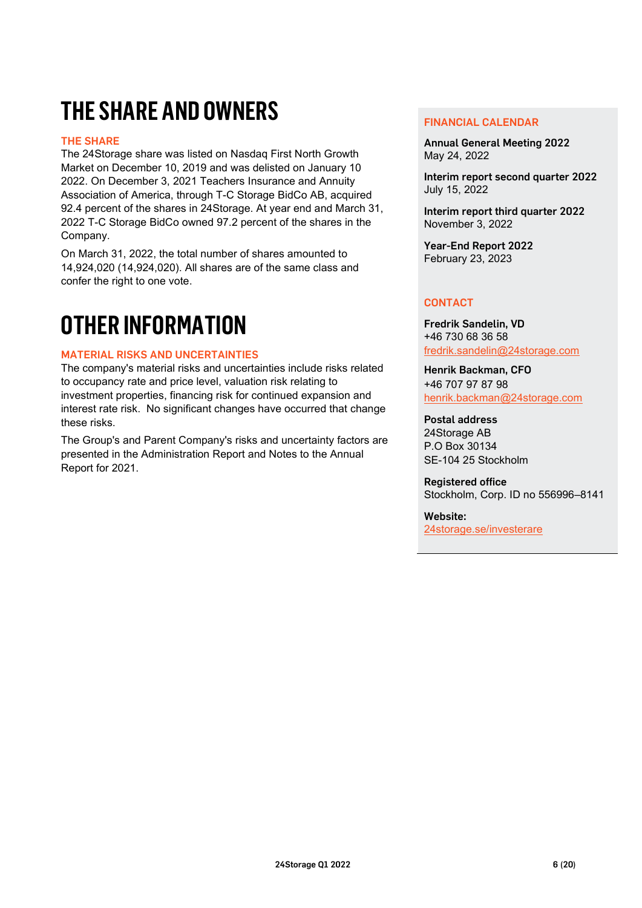# **THE SHARE AND OWNERS**

# THE SHARE

The 24Storage share was listed on Nasdaq First North Growth Market on December 10, 2019 and was delisted on January 10 2022. On December 3, 2021 Teachers Insurance and Annuity Association of America, through T-C Storage BidCo AB, acquired 92.4 percent of the shares in 24Storage. At year end and March 31, 2022 T-C Storage BidCo owned 97.2 percent of the shares in the Company.

On March 31, 2022, the total number of shares amounted to 14,924,020 (14,924,020). All shares are of the same class and confer the right to one vote.

# **OTHER INFORMATION**

# MATERIAL RISKS AND UNCERTAINTIES

The company's material risks and uncertainties include risks related to occupancy rate and price level, valuation risk relating to investment properties, financing risk for continued expansion and interest rate risk. No significant changes have occurred that change these risks.

The Group's and Parent Company's risks and uncertainty factors are presented in the Administration Report and Notes to the Annual Report for 2021.

#### FINANCIAL CALENDAR

Annual General Meeting 2022 May 24, 2022

Interim report second quarter 2022 July 15, 2022

Interim report third quarter 2022 November 3, 2022

Year-End Report 2022 February 23, 2023

# **CONTACT**

Fredrik Sandelin, VD +46 730 68 36 58 [fredrik.sandelin@24storage.com](mailto:fredrik.sandelin@24storage.com)

Henrik Backman, CFO +46 707 97 87 98 [henrik.backman@24storage.com](mailto:henrik.backman@24storage.com)

Postal address 24Storage AB P.O Box 30134 SE-104 25 Stockholm

Registered office Stockholm, Corp. ID no 556996–8141

Website: [24storage.se/investerare](http://www.24storage.se/investerare/)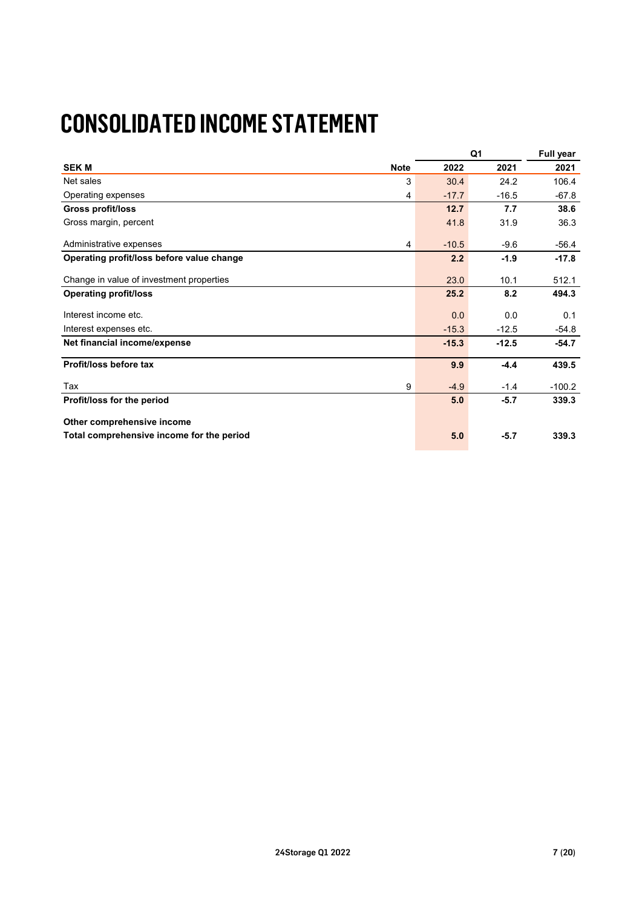# **CONSOLIDATED INCOME STATEMENT**

|                                           |         | Q <sub>1</sub> | Full year |
|-------------------------------------------|---------|----------------|-----------|
| <b>SEK M</b><br><b>Note</b>               | 2022    | 2021           | 2021      |
| Net sales<br>3                            | 30.4    | 24.2           | 106.4     |
| Operating expenses<br>4                   | $-17.7$ | $-16.5$        | $-67.8$   |
| <b>Gross profit/loss</b>                  | 12.7    | 7.7            | 38.6      |
| Gross margin, percent                     | 41.8    | 31.9           | 36.3      |
| Administrative expenses<br>4              | $-10.5$ | $-9.6$         | $-56.4$   |
| Operating profit/loss before value change | 2.2     | $-1.9$         | $-17.8$   |
| Change in value of investment properties  | 23.0    | 10.1           | 512.1     |
| <b>Operating profit/loss</b>              | 25.2    | 8.2            | 494.3     |
| Interest income etc.                      | 0.0     | 0.0            | 0.1       |
| Interest expenses etc.                    | $-15.3$ | $-12.5$        | $-54.8$   |
| Net financial income/expense              | $-15.3$ | $-12.5$        | $-54.7$   |
| Profit/loss before tax                    | 9.9     | $-4.4$         | 439.5     |
| Tax<br>9                                  | $-4.9$  | $-1.4$         | $-100.2$  |
| Profit/loss for the period                | 5.0     | $-5.7$         | 339.3     |
| Other comprehensive income                |         |                |           |
| Total comprehensive income for the period | 5.0     | $-5.7$         | 339.3     |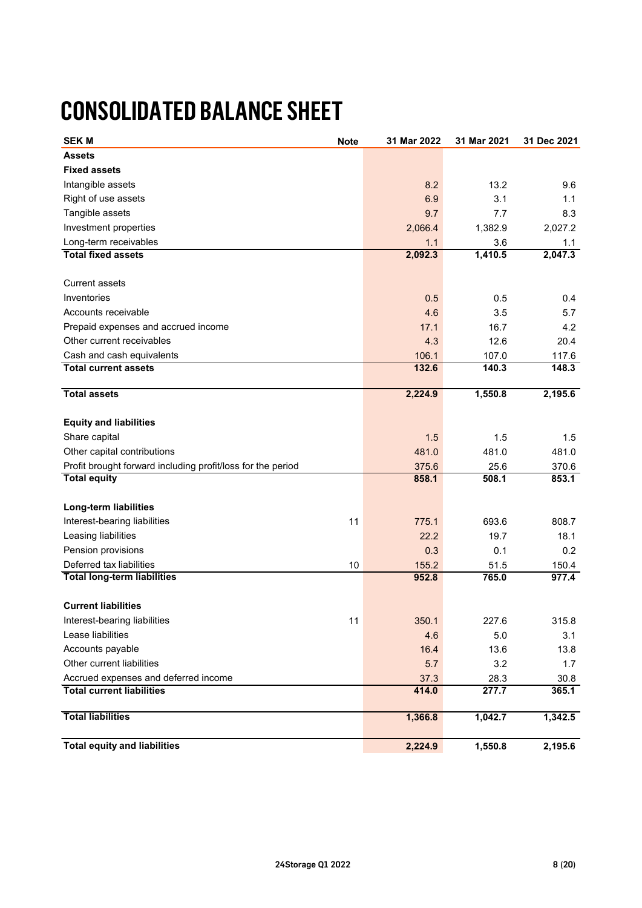# **CONSOLIDATED BALANCE SHEET**

| <b>SEK M</b>                                                | <b>Note</b> | 31 Mar 2022 | 31 Mar 2021 | 31 Dec 2021 |
|-------------------------------------------------------------|-------------|-------------|-------------|-------------|
| <b>Assets</b>                                               |             |             |             |             |
| <b>Fixed assets</b>                                         |             |             |             |             |
| Intangible assets                                           |             | 8.2         | 13.2        | 9.6         |
| Right of use assets                                         |             | 6.9         | 3.1         | 1.1         |
| Tangible assets                                             |             | 9.7         | 7.7         | 8.3         |
| Investment properties                                       |             | 2,066.4     | 1,382.9     | 2,027.2     |
| Long-term receivables                                       |             | 1.1         | 3.6         | 1.1         |
| <b>Total fixed assets</b>                                   |             | 2,092.3     | 1,410.5     | 2,047.3     |
|                                                             |             |             |             |             |
| <b>Current assets</b>                                       |             |             |             |             |
| Inventories                                                 |             | 0.5         | 0.5         | 0.4         |
| Accounts receivable                                         |             | 4.6         | 3.5         | 5.7         |
| Prepaid expenses and accrued income                         |             | 17.1        | 16.7        | 4.2         |
| Other current receivables                                   |             | 4.3         | 12.6        | 20.4        |
| Cash and cash equivalents                                   |             | 106.1       | 107.0       | 117.6       |
| <b>Total current assets</b>                                 |             | 132.6       | 140.3       | 148.3       |
| <b>Total assets</b>                                         |             | 2,224.9     | 1,550.8     | 2,195.6     |
|                                                             |             |             |             |             |
| <b>Equity and liabilities</b>                               |             |             |             |             |
| Share capital                                               |             | 1.5         | 1.5         | 1.5         |
| Other capital contributions                                 |             | 481.0       | 481.0       | 481.0       |
| Profit brought forward including profit/loss for the period |             | 375.6       | 25.6        | 370.6       |
| <b>Total equity</b>                                         |             | 858.1       | 508.1       | 853.1       |
| Long-term liabilities                                       |             |             |             |             |
| Interest-bearing liabilities                                | 11          | 775.1       | 693.6       | 808.7       |
| Leasing liabilities                                         |             | 22.2        | 19.7        | 18.1        |
| Pension provisions                                          |             | 0.3         | 0.1         | 0.2         |
| Deferred tax liabilities                                    | 10          | 155.2       | 51.5        | 150.4       |
| <b>Total long-term liabilities</b>                          |             | 952.8       | 765.0       | 977.4       |
|                                                             |             |             |             |             |
| <b>Current liabilities</b>                                  |             |             |             |             |
| Interest-bearing liabilities                                | 11          | 350.1       | 227.6       | 315.8       |
| Lease liabilities                                           |             | 4.6         | 5.0         | 3.1         |
| Accounts payable                                            |             | 16.4        | 13.6        | 13.8        |
| Other current liabilities                                   |             | 5.7         | 3.2         | 1.7         |
| Accrued expenses and deferred income                        |             | 37.3        | 28.3        | 30.8        |
| <b>Total current liabilities</b>                            |             | 414.0       | 277.7       | 365.1       |
| <b>Total liabilities</b>                                    |             | 1,366.8     | 1,042.7     | 1,342.5     |
| <b>Total equity and liabilities</b>                         |             | 2,224.9     | 1,550.8     | 2,195.6     |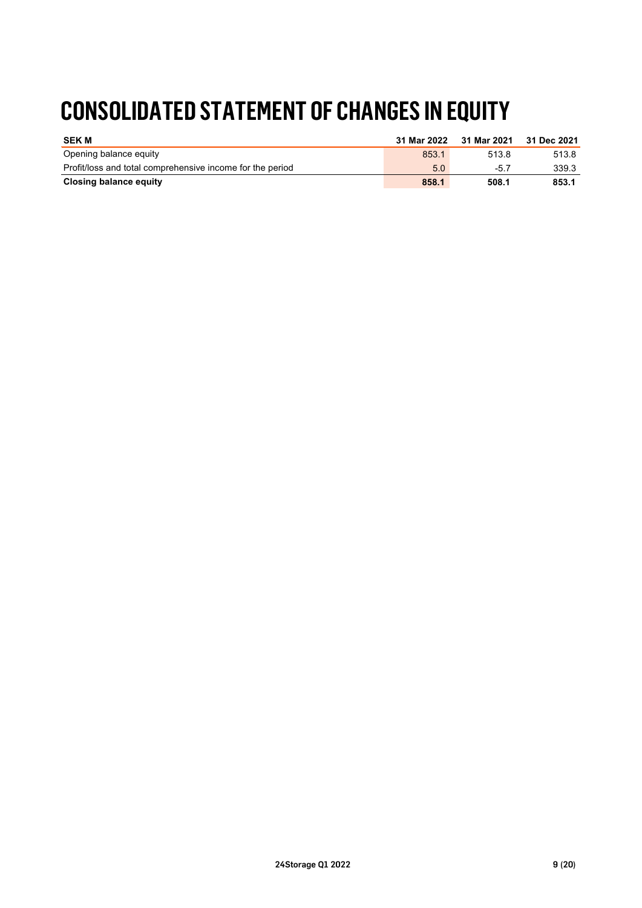# **CONSOLIDATED STATEMENT OF CHANGES IN EQUITY**

| <b>SEK M</b>                                              | 31 Mar 2022 | 31 Mar 2021 | 31 Dec 2021 |
|-----------------------------------------------------------|-------------|-------------|-------------|
| Opening balance equity                                    | 853.1       | 513.8       | 513.8       |
| Profit/loss and total comprehensive income for the period | 5.0         | -5.7        | 339.3       |
| Closing balance equity                                    | 858.1       | 508.1       | 853.1       |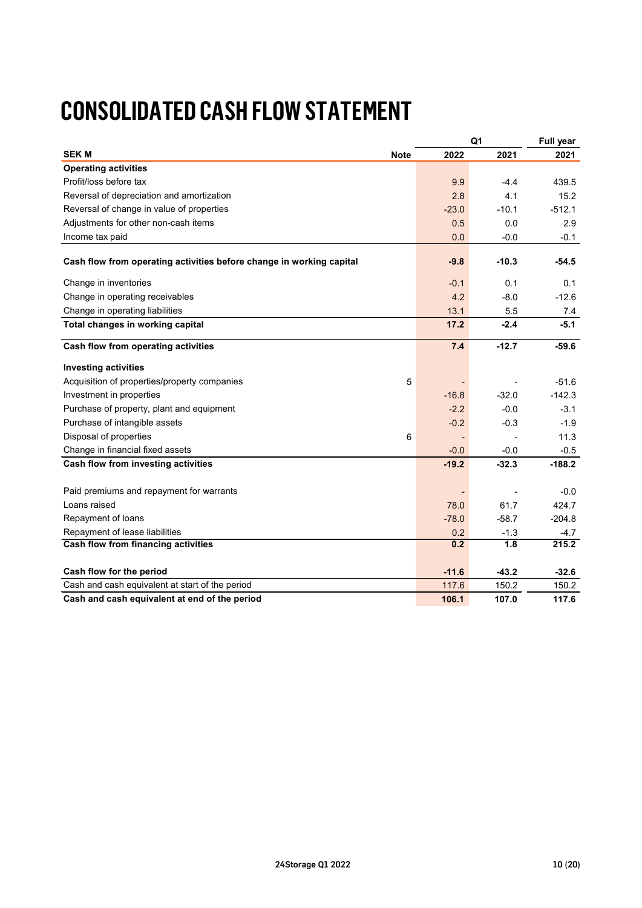# **CONSOLIDATED CASH FLOW STATEMENT**

|                                                                      |         | Q <sub>1</sub> | Full year |
|----------------------------------------------------------------------|---------|----------------|-----------|
| <b>SEKM</b><br>Note                                                  | 2022    | 2021           | 2021      |
| <b>Operating activities</b>                                          |         |                |           |
| Profit/loss before tax                                               | 9.9     | $-4.4$         | 439.5     |
| Reversal of depreciation and amortization                            | 2.8     | 4.1            | 15.2      |
| Reversal of change in value of properties                            | $-23.0$ | $-10.1$        | $-512.1$  |
| Adjustments for other non-cash items                                 | 0.5     | 0.0            | 2.9       |
| Income tax paid                                                      | 0.0     | $-0.0$         | $-0.1$    |
| Cash flow from operating activities before change in working capital | $-9.8$  | $-10.3$        | $-54.5$   |
| Change in inventories                                                | $-0.1$  | 0.1            | 0.1       |
| Change in operating receivables                                      | 4.2     | $-8.0$         | $-12.6$   |
| Change in operating liabilities                                      | 13.1    | 5.5            | 7.4       |
| Total changes in working capital                                     | 17.2    | $-2.4$         | $-5.1$    |
| Cash flow from operating activities                                  | 7.4     | $-12.7$        | $-59.6$   |
| <b>Investing activities</b>                                          |         |                |           |
| Acquisition of properties/property companies<br>5                    |         |                | $-51.6$   |
| Investment in properties                                             | $-16.8$ | $-32.0$        | $-142.3$  |
| Purchase of property, plant and equipment                            | $-2.2$  | $-0.0$         | $-3.1$    |
| Purchase of intangible assets                                        | $-0.2$  | $-0.3$         | $-1.9$    |
| Disposal of properties<br>6                                          |         |                | 11.3      |
| Change in financial fixed assets                                     | $-0.0$  | $-0.0$         | $-0.5$    |
| Cash flow from investing activities                                  | $-19.2$ | $-32.3$        | $-188.2$  |
| Paid premiums and repayment for warrants                             |         |                | -0.0      |
| Loans raised                                                         | 78.0    | 61.7           | 424.7     |
| Repayment of loans                                                   | $-78.0$ | $-58.7$        | $-204.8$  |
| Repayment of lease liabilities                                       | 0.2     | $-1.3$         | $-4.7$    |
| Cash flow from financing activities                                  | 0.2     | 1.8            | 215.2     |
| Cash flow for the period                                             | $-11.6$ | $-43.2$        | $-32.6$   |
| Cash and cash equivalent at start of the period                      | 117.6   | 150.2          | 150.2     |
| Cash and cash equivalent at end of the period                        | 106.1   | 107.0          | 117.6     |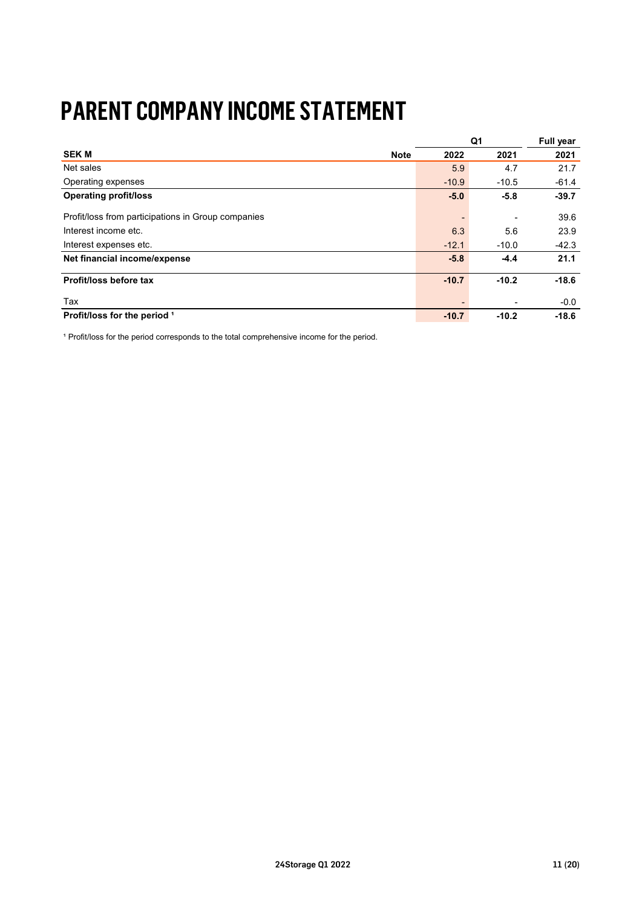# **PARENT COMPANY INCOME STATEMENT**

|                                                    |         | Q <sub>1</sub> | Full year |
|----------------------------------------------------|---------|----------------|-----------|
| <b>SEK M</b><br><b>Note</b>                        | 2022    | 2021           | 2021      |
| Net sales                                          | 5.9     | 4.7            | 21.7      |
| Operating expenses                                 | $-10.9$ | $-10.5$        | $-61.4$   |
| <b>Operating profit/loss</b>                       | $-5.0$  | $-5.8$         | $-39.7$   |
| Profit/loss from participations in Group companies |         | ٠              | 39.6      |
| Interest income etc.                               | 6.3     | 5.6            | 23.9      |
| Interest expenses etc.                             | $-12.1$ | $-10.0$        | $-42.3$   |
| Net financial income/expense                       | $-5.8$  | $-4.4$         | 21.1      |
| Profit/loss before tax                             | $-10.7$ | $-10.2$        | $-18.6$   |
| Tax                                                |         | -              | $-0.0$    |
| Profit/loss for the period 1                       | $-10.7$ | $-10.2$        | $-18.6$   |

<sup>1</sup> Profit/loss for the period corresponds to the total comprehensive income for the period.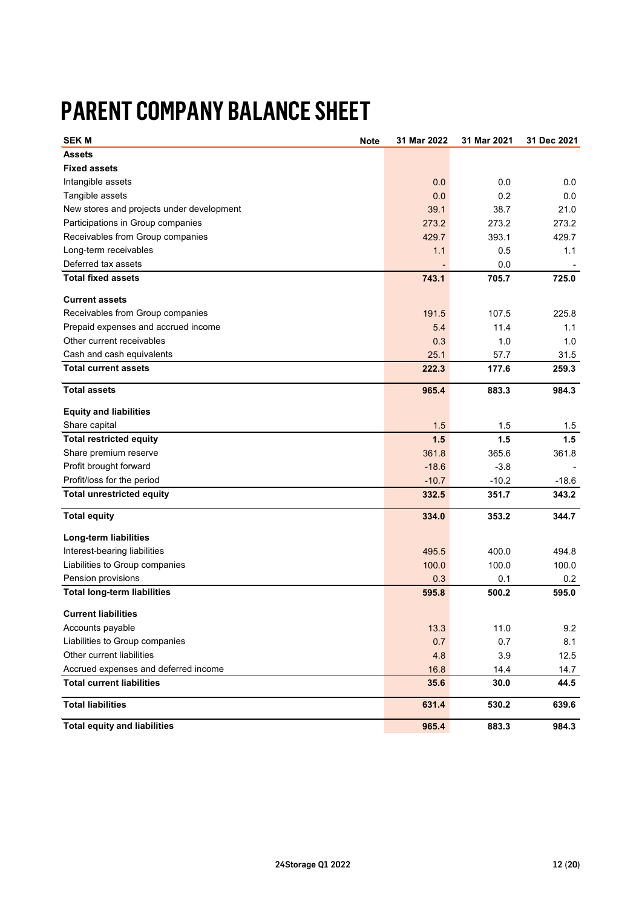# **PARENT COMPANY BALANCE SHEET**

| <b>SEKM</b><br><b>Note</b>                | 31 Mar 2022 | 31 Mar 2021 | 31 Dec 2021 |
|-------------------------------------------|-------------|-------------|-------------|
| <b>Assets</b>                             |             |             |             |
| <b>Fixed assets</b>                       |             |             |             |
| Intangible assets                         | 0.0         | 0.0         | 0.0         |
| Tangible assets                           | 0.0         | 0.2         | 0.0         |
| New stores and projects under development | 39.1        | 38.7        | 21.0        |
| Participations in Group companies         | 273.2       | 273.2       | 273.2       |
| Receivables from Group companies          | 429.7       | 393.1       | 429.7       |
| Long-term receivables                     | 1.1         | 0.5         | 1.1         |
| Deferred tax assets                       |             | 0.0         |             |
| <b>Total fixed assets</b>                 | 743.1       | 705.7       | 725.0       |
| <b>Current assets</b>                     |             |             |             |
| Receivables from Group companies          | 191.5       | 107.5       | 225.8       |
| Prepaid expenses and accrued income       | 5.4         | 11.4        | 1.1         |
| Other current receivables                 | 0.3         | 1.0         | 1.0         |
| Cash and cash equivalents                 | 25.1        | 57.7        | 31.5        |
| <b>Total current assets</b>               | 222.3       | 177.6       | 259.3       |
| <b>Total assets</b>                       | 965.4       | 883.3       | 984.3       |
|                                           |             |             |             |
| <b>Equity and liabilities</b>             |             |             |             |
| Share capital                             | 1.5         | 1.5         | 1.5         |
| <b>Total restricted equity</b>            | 1.5         | 1.5         | 1.5         |
| Share premium reserve                     | 361.8       | 365.6       | 361.8       |
| Profit brought forward                    | $-18.6$     | $-3.8$      |             |
| Profit/loss for the period                | $-10.7$     | $-10.2$     | $-18.6$     |
| <b>Total unrestricted equity</b>          | 332.5       | 351.7       | 343.2       |
| <b>Total equity</b>                       | 334.0       | 353.2       | 344.7       |
| Long-term liabilities                     |             |             |             |
| Interest-bearing liabilities              | 495.5       | 400.0       | 494.8       |
| Liabilities to Group companies            | 100.0       | 100.0       | 100.0       |
| Pension provisions                        | 0.3         | 0.1         | $0.2\,$     |
| <b>Total long-term liabilities</b>        | 595.8       | 500.2       | 595.0       |
| <b>Current liabilities</b>                |             |             |             |
| Accounts payable                          | 13.3        | 11.0        | 9.2         |
| Liabilities to Group companies            | 0.7         | 0.7         | 8.1         |
| Other current liabilities                 | 4.8         | 3.9         | 12.5        |
| Accrued expenses and deferred income      | 16.8        | 14.4        | 14.7        |
| <b>Total current liabilities</b>          | 35.6        | 30.0        | 44.5        |
| <b>Total liabilities</b>                  | 631.4       | 530.2       | 639.6       |
| <b>Total equity and liabilities</b>       | 965.4       | 883.3       | 984.3       |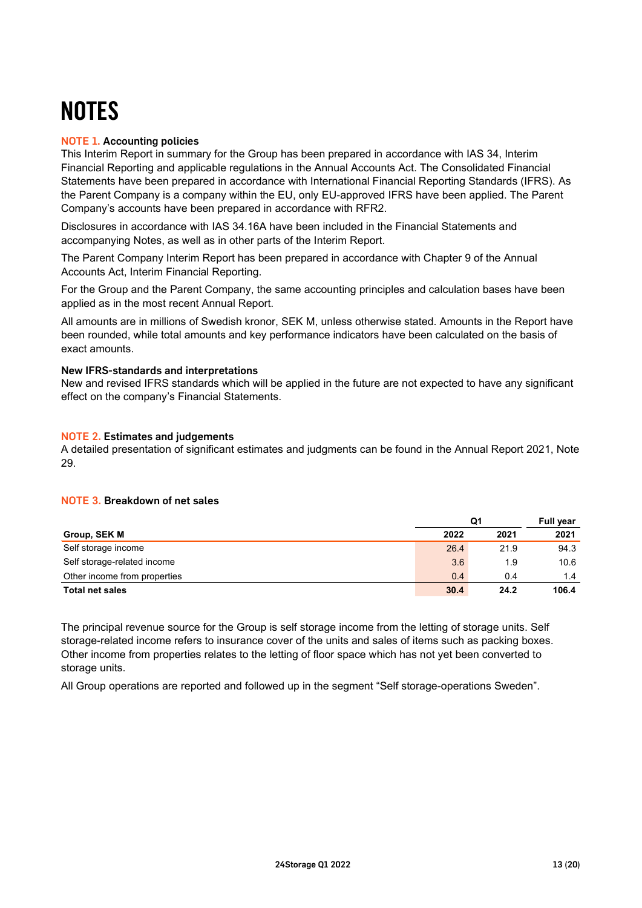# **NOTES**

# NOTE 1. Accounting policies

This Interim Report in summary for the Group has been prepared in accordance with IAS 34, Interim Financial Reporting and applicable regulations in the Annual Accounts Act. The Consolidated Financial Statements have been prepared in accordance with International Financial Reporting Standards (IFRS). As the Parent Company is a company within the EU, only EU-approved IFRS have been applied. The Parent Company's accounts have been prepared in accordance with RFR2.

Disclosures in accordance with IAS 34.16A have been included in the Financial Statements and accompanying Notes, as well as in other parts of the Interim Report.

The Parent Company Interim Report has been prepared in accordance with Chapter 9 of the Annual Accounts Act, Interim Financial Reporting.

For the Group and the Parent Company, the same accounting principles and calculation bases have been applied as in the most recent Annual Report.

All amounts are in millions of Swedish kronor, SEK M, unless otherwise stated. Amounts in the Report have been rounded, while total amounts and key performance indicators have been calculated on the basis of exact amounts.

### New IFRS-standards and interpretations

New and revised IFRS standards which will be applied in the future are not expected to have any significant effect on the company's Financial Statements.

### NOTE 2. Estimates and judgements

A detailed presentation of significant estimates and judgments can be found in the Annual Report 2021, Note 29.

# NOTE 3**.** Breakdown of net sales

|                              |      | Q1   |       |  |
|------------------------------|------|------|-------|--|
| Group, SEK M                 | 2022 | 2021 | 2021  |  |
| Self storage income          | 26.4 | 21.9 | 94.3  |  |
| Self storage-related income  | 3.6  | 1.9  | 10.6  |  |
| Other income from properties | 0.4  | 0.4  | 1.4   |  |
| <b>Total net sales</b>       | 30.4 | 24.2 | 106.4 |  |

The principal revenue source for the Group is self storage income from the letting of storage units. Self storage-related income refers to insurance cover of the units and sales of items such as packing boxes. Other income from properties relates to the letting of floor space which has not yet been converted to storage units.

All Group operations are reported and followed up in the segment "Self storage-operations Sweden".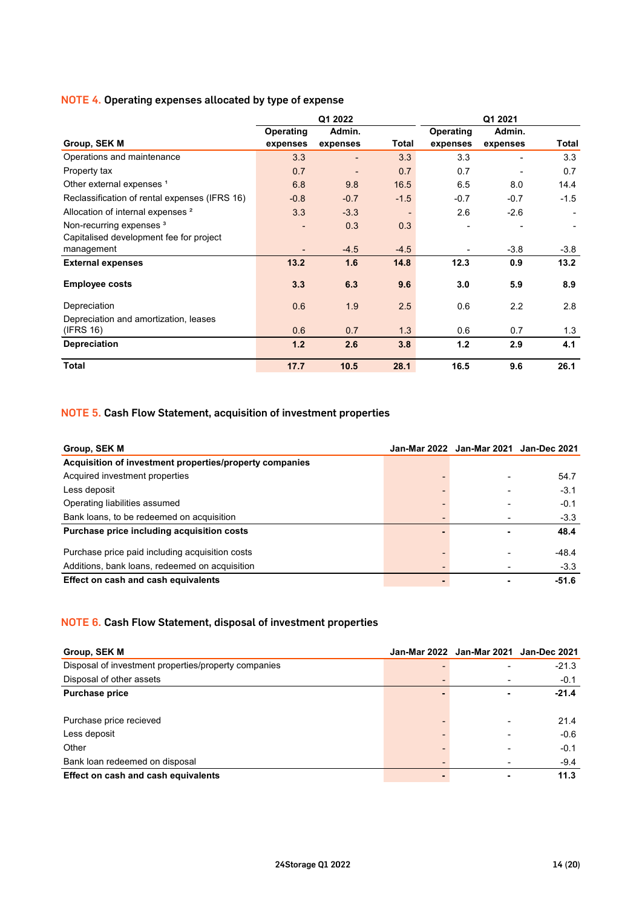### NOTE 4**.** Operating expenses allocated by type of expense

|                                               |                  | Q1 2022                  |        |                  | Q1 2021  |        |
|-----------------------------------------------|------------------|--------------------------|--------|------------------|----------|--------|
|                                               | <b>Operating</b> | Admin.                   |        | <b>Operating</b> | Admin.   |        |
| Group, SEK M                                  | expenses         | expenses                 | Total  | expenses         | expenses | Total  |
| Operations and maintenance                    | 3.3              | $\overline{\phantom{0}}$ | 3.3    | 3.3              | ٠        | 3.3    |
| Property tax                                  | 0.7              | $\overline{\phantom{0}}$ | 0.7    | 0.7              | ٠        | 0.7    |
| Other external expenses <sup>1</sup>          | 6.8              | 9.8                      | 16.5   | 6.5              | 8.0      | 14.4   |
| Reclassification of rental expenses (IFRS 16) | $-0.8$           | $-0.7$                   | $-1.5$ | $-0.7$           | $-0.7$   | $-1.5$ |
| Allocation of internal expenses <sup>2</sup>  | 3.3              | $-3.3$                   |        | 2.6              | $-2.6$   |        |
| Non-recurring expenses <sup>3</sup>           |                  | 0.3                      | 0.3    |                  |          |        |
| Capitalised development fee for project       |                  |                          |        |                  |          |        |
| management                                    |                  | $-4.5$                   | $-4.5$ |                  | $-3.8$   | $-3.8$ |
| <b>External expenses</b>                      | 13.2             | 1.6                      | 14.8   | 12.3             | 0.9      | 13.2   |
| <b>Employee costs</b>                         | 3.3              | 6.3                      | 9.6    | 3.0              | 5.9      | 8.9    |
| Depreciation                                  | 0.6              | 1.9                      | 2.5    | 0.6              | 2.2      | 2.8    |
| Depreciation and amortization, leases         |                  |                          |        |                  |          |        |
| (IFRS 16)                                     | 0.6              | 0.7                      | 1.3    | 0.6              | 0.7      | 1.3    |
| <b>Depreciation</b>                           | 1.2              | 2.6                      | 3.8    | 1.2              | 2.9      | 4.1    |
| <b>Total</b>                                  | 17.7             | 10.5                     | 28.1   | 16.5             | 9.6      | 26.1   |

# NOTE 5**.** Cash Flow Statement, acquisition of investment properties

| Group, SEK M                                            | Jan-Mar 2022 Jan-Mar 2021 Jan-Dec 2021 |         |
|---------------------------------------------------------|----------------------------------------|---------|
| Acquisition of investment properties/property companies |                                        |         |
| Acquired investment properties                          | -                                      | 54.7    |
| Less deposit                                            |                                        | $-3.1$  |
| Operating liabilities assumed                           | -                                      | $-0.1$  |
| Bank loans, to be redeemed on acquisition               |                                        | $-3.3$  |
| Purchase price including acquisition costs              |                                        | 48.4    |
| Purchase price paid including acquisition costs         |                                        | $-48.4$ |
| Additions, bank loans, redeemed on acquisition          | ٠                                      | $-3.3$  |
| Effect on cash and cash equivalents                     |                                        | $-51.6$ |

# NOTE 6**.** Cash Flow Statement, disposal of investment properties

| Group, SEK M                                         | Jan-Mar 2022 Jan-Mar 2021 Jan-Dec 2021 |         |
|------------------------------------------------------|----------------------------------------|---------|
| Disposal of investment properties/property companies |                                        | $-21.3$ |
| Disposal of other assets                             |                                        | $-0.1$  |
| <b>Purchase price</b>                                | $\blacksquare$                         | $-21.4$ |
| Purchase price recieved                              | $\blacksquare$                         | 21.4    |
| Less deposit                                         | $\blacksquare$                         | $-0.6$  |
| Other                                                |                                        | $-0.1$  |
| Bank loan redeemed on disposal                       |                                        | $-9.4$  |
| Effect on cash and cash equivalents                  | $\blacksquare$                         | 11.3    |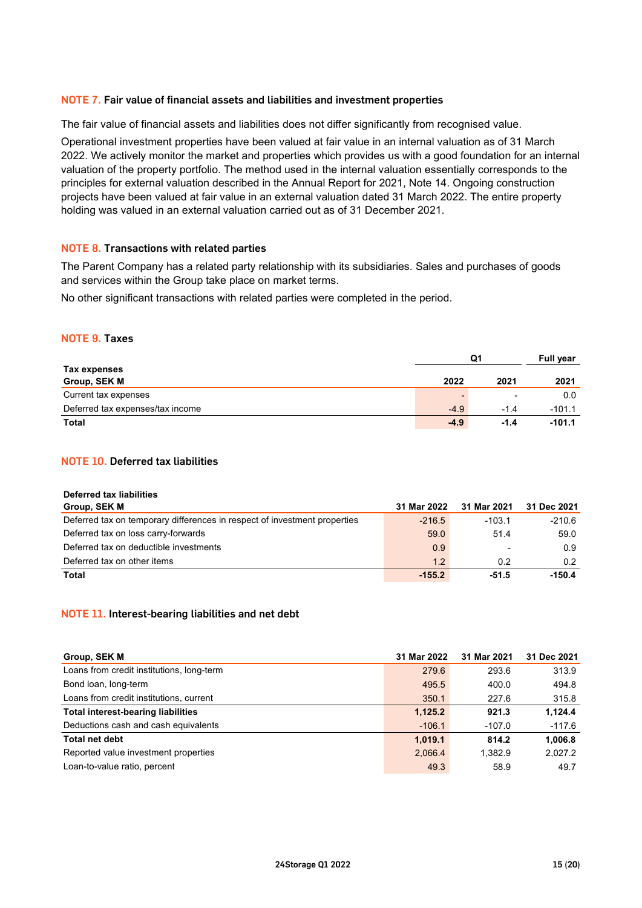### NOTE 7**.** Fair value of financial assets and liabilities and investment properties

The fair value of financial assets and liabilities does not differ significantly from recognised value.

Operational investment properties have been valued at fair value in an internal valuation as of 31 March 2022. We actively monitor the market and properties which provides us with a good foundation for an internal valuation of the property portfolio. The method used in the internal valuation essentially corresponds to the principles for external valuation described in the Annual Report for 2021, Note 14. Ongoing construction projects have been valued at fair value in an external valuation dated 31 March 2022. The entire property holding was valued in an external valuation carried out as of 31 December 2021.

### NOTE 8**.** Transactions with related parties

The Parent Company has a related party relationship with its subsidiaries. Sales and purchases of goods and services within the Group take place on market terms.

No other significant transactions with related parties were completed in the period.

### NOTE 9**.** Taxes

|                                  |        | Full year |          |
|----------------------------------|--------|-----------|----------|
| Tax expenses                     |        |           |          |
| Group, SEK M                     | 2022   | 2021      | 2021     |
| Current tax expenses             |        | -         | 0.0      |
| Deferred tax expenses/tax income | $-4.9$ | $-1.4$    | $-101.1$ |
| Total                            | $-4.9$ | $-1.4$    | $-101.1$ |

### NOTE 10**.** Deferred tax liabilities

| <b>Deferred tax liabilities</b>                                           |             |                          |             |
|---------------------------------------------------------------------------|-------------|--------------------------|-------------|
| Group, SEK M                                                              | 31 Mar 2022 | 31 Mar 2021              | 31 Dec 2021 |
| Deferred tax on temporary differences in respect of investment properties | $-216.5$    | $-103.1$                 | $-210.6$    |
| Deferred tax on loss carry-forwards                                       | 59.0        | 51.4                     | 59.0        |
| Deferred tax on deductible investments                                    | 0.9         | $\overline{\phantom{0}}$ | 0.9         |
| Deferred tax on other items                                               | 1.2         | 0.2                      | 0.2         |
| <b>Total</b>                                                              | $-155.2$    | -51.5                    | $-150.4$    |

### NOTE 11**.** Interest-bearing liabilities and net debt

| Group, SEK M                              | 31 Mar 2022 | 31 Mar 2021 | 31 Dec 2021 |
|-------------------------------------------|-------------|-------------|-------------|
| Loans from credit institutions, long-term | 279.6       | 293.6       | 313.9       |
| Bond loan, long-term                      | 495.5       | 400.0       | 494.8       |
| Loans from credit institutions, current   | 350.1       | 227.6       | 315.8       |
| <b>Total interest-bearing liabilities</b> | 1,125.2     | 921.3       | 1.124.4     |
| Deductions cash and cash equivalents      | $-106.1$    | $-107.0$    | $-117.6$    |
| <b>Total net debt</b>                     | 1.019.1     | 814.2       | 1,006.8     |
| Reported value investment properties      | 2.066.4     | 1.382.9     | 2.027.2     |
| Loan-to-value ratio, percent              | 49.3        | 58.9        | 49.7        |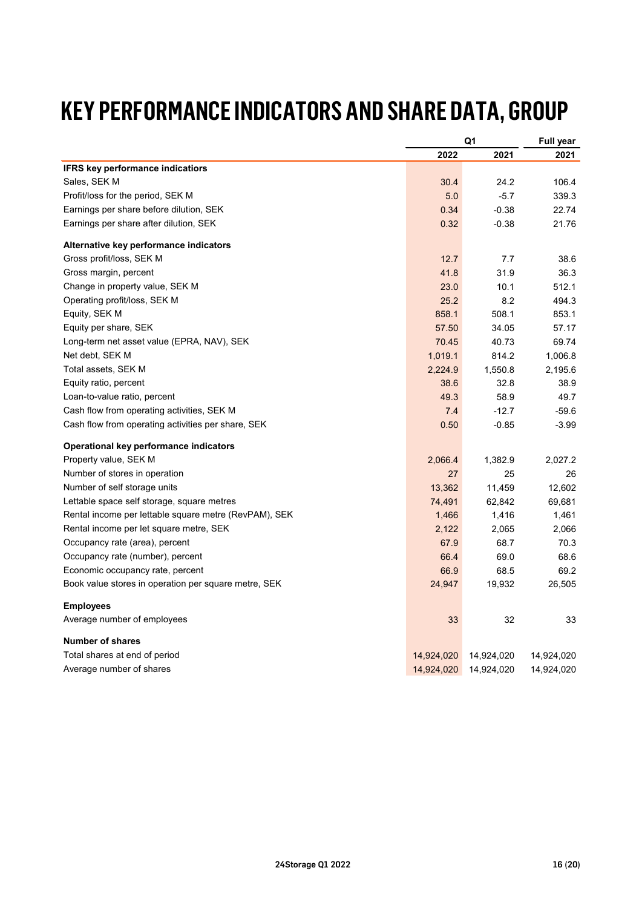# **KEY PERFORMANCE INDICATORS AND SHARE DATA, GROUP**

|                                                       |            | Q1         |            |
|-------------------------------------------------------|------------|------------|------------|
|                                                       | 2022       | 2021       | 2021       |
| IFRS key performance indicatiors                      |            |            |            |
| Sales, SEK M                                          | 30.4       | 24.2       | 106.4      |
| Profit/loss for the period, SEK M                     | 5.0        | $-5.7$     | 339.3      |
| Earnings per share before dilution, SEK               | 0.34       | $-0.38$    | 22.74      |
| Earnings per share after dilution, SEK                | 0.32       | $-0.38$    | 21.76      |
| Alternative key performance indicators                |            |            |            |
| Gross profit/loss, SEK M                              | 12.7       | 7.7        | 38.6       |
| Gross margin, percent                                 | 41.8       | 31.9       | 36.3       |
| Change in property value, SEK M                       | 23.0       | 10.1       | 512.1      |
| Operating profit/loss, SEK M                          | 25.2       | 8.2        | 494.3      |
| Equity, SEK M                                         | 858.1      | 508.1      | 853.1      |
| Equity per share, SEK                                 | 57.50      | 34.05      | 57.17      |
| Long-term net asset value (EPRA, NAV), SEK            | 70.45      | 40.73      | 69.74      |
| Net debt, SEK M                                       | 1,019.1    | 814.2      | 1,006.8    |
| Total assets, SEK M                                   | 2,224.9    | 1,550.8    | 2,195.6    |
| Equity ratio, percent                                 | 38.6       | 32.8       | 38.9       |
| Loan-to-value ratio, percent                          | 49.3       | 58.9       | 49.7       |
| Cash flow from operating activities, SEK M            | 7.4        | $-12.7$    | $-59.6$    |
| Cash flow from operating activities per share, SEK    | 0.50       | $-0.85$    | $-3.99$    |
| Operational key performance indicators                |            |            |            |
| Property value, SEK M                                 | 2,066.4    | 1,382.9    | 2,027.2    |
| Number of stores in operation                         | 27         | 25         | 26         |
| Number of self storage units                          | 13,362     | 11,459     | 12.602     |
| Lettable space self storage, square metres            | 74,491     | 62,842     | 69,681     |
| Rental income per lettable square metre (RevPAM), SEK | 1,466      | 1,416      | 1,461      |
| Rental income per let square metre, SEK               | 2,122      | 2,065      | 2,066      |
| Occupancy rate (area), percent                        | 67.9       | 68.7       | 70.3       |
| Occupancy rate (number), percent                      | 66.4       | 69.0       | 68.6       |
| Economic occupancy rate, percent                      | 66.9       | 68.5       | 69.2       |
| Book value stores in operation per square metre, SEK  | 24,947     | 19,932     | 26,505     |
| <b>Employees</b>                                      |            |            |            |
| Average number of employees                           | 33         | 32         | 33         |
| <b>Number of shares</b>                               |            |            |            |
| Total shares at end of period                         | 14,924,020 | 14,924,020 | 14,924,020 |
| Average number of shares                              | 14,924,020 | 14,924,020 | 14,924,020 |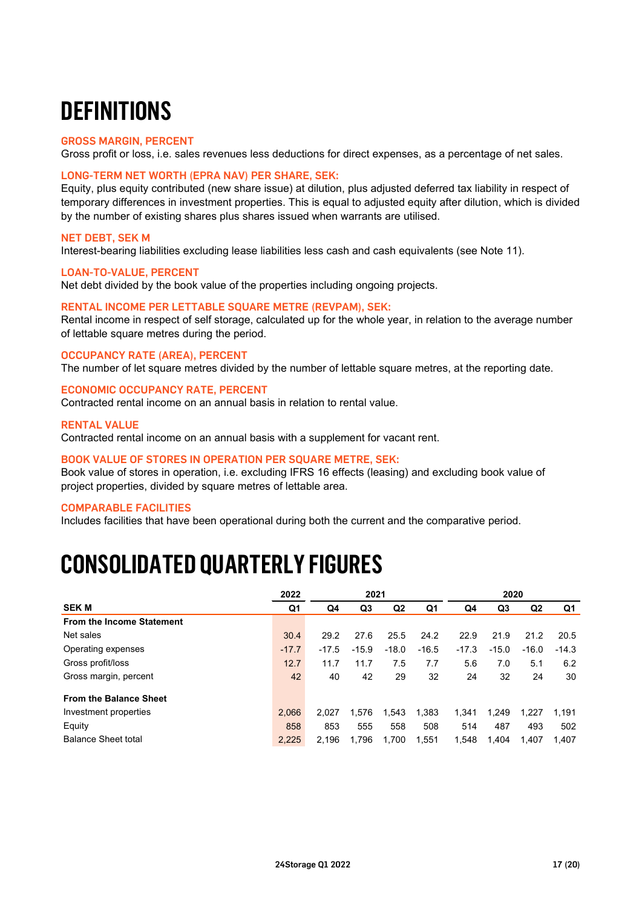# **DEFINITIONS**

### GROSS MARGIN, PERCENT

Gross profit or loss, i.e. sales revenues less deductions for direct expenses, as a percentage of net sales.

### LONG-TERM NET WORTH (EPRA NAV) PER SHARE, SEK:

Equity, plus equity contributed (new share issue) at dilution, plus adjusted deferred tax liability in respect of temporary differences in investment properties. This is equal to adjusted equity after dilution, which is divided by the number of existing shares plus shares issued when warrants are utilised.

### NET DEBT, SEK M

Interest-bearing liabilities excluding lease liabilities less cash and cash equivalents (see Note 11).

### LOAN-TO-VALUE, PERCENT

Net debt divided by the book value of the properties including ongoing projects.

### RENTAL INCOME PER LETTABLE SQUARE METRE (REVPAM), SEK:

Rental income in respect of self storage, calculated up for the whole year, in relation to the average number of lettable square metres during the period.

### OCCUPANCY RATE (AREA), PERCENT

The number of let square metres divided by the number of lettable square metres, at the reporting date.

### ECONOMIC OCCUPANCY RATE, PERCENT

Contracted rental income on an annual basis in relation to rental value.

### RENTAL VALUE

Contracted rental income on an annual basis with a supplement for vacant rent.

### BOOK VALUE OF STORES IN OPERATION PER SQUARE METRE, SEK:

Book value of stores in operation, i.e. excluding IFRS 16 effects (leasing) and excluding book value of project properties, divided by square metres of lettable area.

### COMPARABLE FACILITIES

Includes facilities that have been operational during both the current and the comparative period.

# **CONSOLIDATED QUARTERLY FIGURES**

|                                  | 2022    |         | 2021    |                |         |         | 2020    |                |         |
|----------------------------------|---------|---------|---------|----------------|---------|---------|---------|----------------|---------|
| <b>SEK M</b>                     | Q1      | Q4      | Q3      | Q <sub>2</sub> | Q1      | Q4      | Q3      | Q <sub>2</sub> | Q1      |
| <b>From the Income Statement</b> |         |         |         |                |         |         |         |                |         |
| Net sales                        | 30.4    | 29.2    | 27.6    | 25.5           | 24.2    | 22.9    | 21.9    | 21.2           | 20.5    |
| Operating expenses               | $-17.7$ | $-17.5$ | $-15.9$ | $-18.0$        | $-16.5$ | $-17.3$ | $-15.0$ | $-16.0$        | $-14.3$ |
| Gross profit/loss                | 12.7    | 11.7    | 11.7    | 7.5            | 7.7     | 5.6     | 7.0     | 5.1            | 6.2     |
| Gross margin, percent            | 42      | 40      | 42      | 29             | 32      | 24      | 32      | 24             | 30      |
| <b>From the Balance Sheet</b>    |         |         |         |                |         |         |         |                |         |
| Investment properties            | 2.066   | 2.027   | 1,576   | 1,543          | 1,383   | 1,341   | 1.249   | 1.227          | 1.191   |
| Equity                           | 858     | 853     | 555     | 558            | 508     | 514     | 487     | 493            | 502     |
| <b>Balance Sheet total</b>       | 2.225   | 2.196   | 1.796   | 1.700          | 1.551   | 1,548   | 1.404   | 1.407          | 1.407   |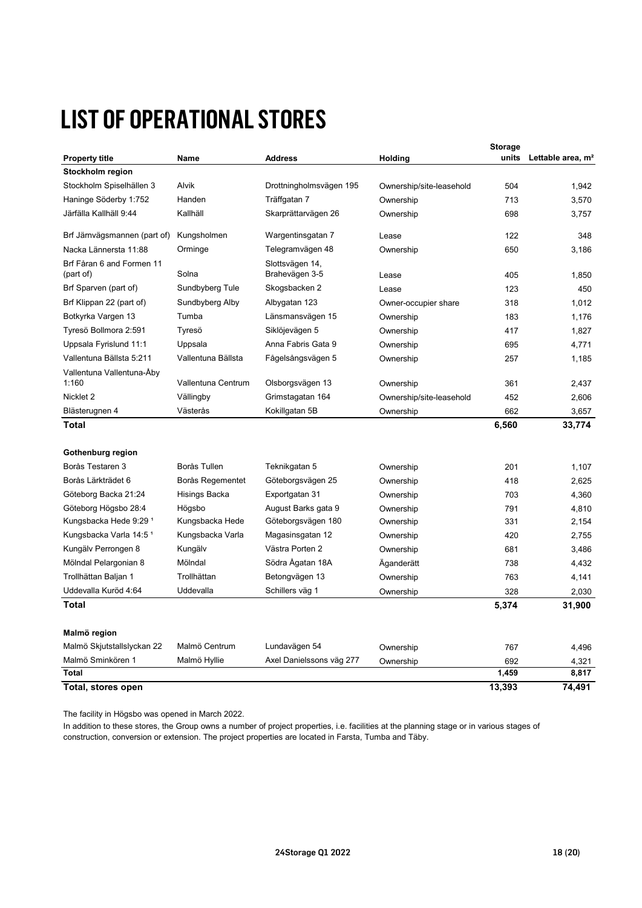# **LIST OF OPERATIONAL STORES**

|                                        |                    |                                   |                          | <b>Storage</b> |                               |
|----------------------------------------|--------------------|-----------------------------------|--------------------------|----------------|-------------------------------|
| <b>Property title</b>                  | Name               | <b>Address</b>                    | Holding                  | units          | Lettable area, m <sup>2</sup> |
| Stockholm region                       |                    |                                   |                          |                |                               |
| Stockholm Spiselhällen 3               | Alvik              | Drottningholmsvägen 195           | Ownership/site-leasehold | 504            | 1,942                         |
| Haninge Söderby 1:752                  | Handen             | Träffgatan 7                      | Ownership                | 713            | 3,570                         |
| Järfälla Kallhäll 9:44                 | Kallhäll           | Skarprättarvägen 26               | Ownership                | 698            | 3,757                         |
| Brf Järnvägsmannen (part of)           | Kungsholmen        | Wargentinsgatan 7                 | Lease                    | 122            | 348                           |
| Nacka Lännersta 11:88                  | Orminge            | Telegramvägen 48                  | Ownership                | 650            | 3,186                         |
| Brf Fåran 6 and Formen 11<br>(part of) | Solna              | Slottsvägen 14,<br>Brahevägen 3-5 | Lease                    | 405            | 1,850                         |
| Brf Sparven (part of)                  | Sundbyberg Tule    | Skogsbacken 2                     | Lease                    | 123            | 450                           |
| Brf Klippan 22 (part of)               | Sundbyberg Alby    | Albygatan 123                     | Owner-occupier share     | 318            | 1.012                         |
| Botkyrka Vargen 13                     | Tumba              | Länsmansvägen 15                  | Ownership                | 183            | 1,176                         |
| Tyresö Bollmora 2:591                  | Tyresö             | Siklöjevägen 5                    | Ownership                | 417            | 1,827                         |
| Uppsala Fyrislund 11:1                 | Uppsala            | Anna Fabris Gata 9                | Ownership                | 695            | 4,771                         |
| Vallentuna Bällsta 5:211               | Vallentuna Bällsta | Fågelsångsvägen 5                 | Ownership                | 257            | 1,185                         |
| Vallentuna Vallentuna-Åby<br>1:160     | Vallentuna Centrum | Olsborgsvägen 13                  | Ownership                | 361            | 2,437                         |
| Nicklet 2                              | Vällingby          | Grimstagatan 164                  | Ownership/site-leasehold | 452            | 2,606                         |
| Blästerugnen 4                         | Västerås           | Kokillgatan 5B                    | Ownership                | 662            | 3,657                         |
| Total                                  |                    |                                   |                          | 6,560          | 33,774                        |
|                                        |                    |                                   |                          |                |                               |
| Gothenburg region                      |                    |                                   |                          |                |                               |
| Borås Testaren 3                       | Borås Tullen       | Teknikgatan 5                     | Ownership                | 201            | 1,107                         |
| Borås Lärkträdet 6                     | Borås Regementet   | Göteborgsvägen 25                 | Ownership                | 418            | 2,625                         |
| Göteborg Backa 21:24                   | Hisings Backa      | Exportgatan 31                    | Ownership                | 703            | 4,360                         |
| Göteborg Högsbo 28:4                   | Högsbo             | August Barks gata 9               | Ownership                | 791            | 4,810                         |
| Kungsbacka Hede 9:29 <sup>1</sup>      | Kungsbacka Hede    | Göteborgsvägen 180                | Ownership                | 331            | 2,154                         |
| Kungsbacka Varla 14:5 <sup>1</sup>     | Kungsbacka Varla   | Magasinsgatan 12                  | Ownership                | 420            | 2,755                         |
| Kungälv Perrongen 8                    | Kungälv            | Västra Porten 2                   | Ownership                | 681            | 3,486                         |
| Mölndal Pelargonian 8                  | Mölndal            | Södra Ågatan 18A                  | Äganderätt               | 738            | 4,432                         |
| Trollhättan Baljan 1                   | Trollhättan        | Betongvägen 13                    | Ownership                | 763            | 4,141                         |
| Uddevalla Kuröd 4:64                   | Uddevalla          | Schillers väg 1                   | Ownership                | 328            | 2,030                         |
| Total                                  |                    |                                   |                          | 5,374          | 31,900                        |
| Malmö region                           |                    |                                   |                          |                |                               |
| Malmö Skjutstallslyckan 22             | Malmö Centrum      | Lundavägen 54                     | Ownership                | 767            | 4,496                         |
| Malmö Sminkören 1                      | Malmö Hyllie       | Axel Danielssons väg 277          | Ownership                | 692            | 4,321                         |
| <b>Total</b>                           |                    |                                   |                          | 1,459          | 8,817                         |
| Total, stores open                     |                    |                                   |                          | 13,393         | 74,491                        |

The facility in Högsbo was opened in March 2022.

construction, conversion or extension. The project properties are located in Farsta, Tumba and Täby. In addition to these stores, the Group owns a number of project properties, i.e. facilities at the planning stage or in various stages of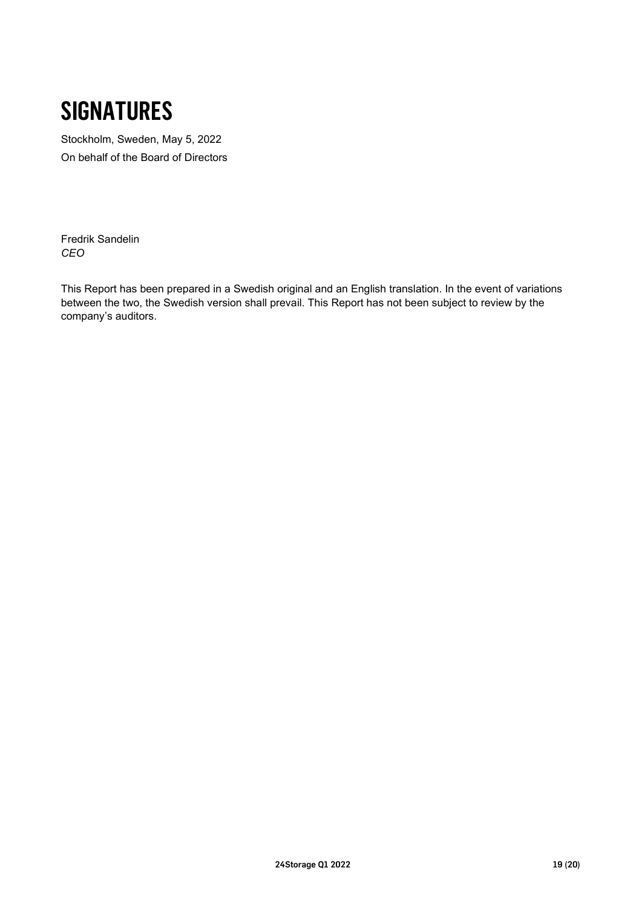# **SIGNATURES**

Stockholm, Sweden, May 5, 2022 On behalf of the Board of Directors

Fredrik Sandelin *CEO*

This Report has been prepared in a Swedish original and an English translation. In the event of variations between the two, the Swedish version shall prevail. This Report has not been subject to review by the company's auditors.